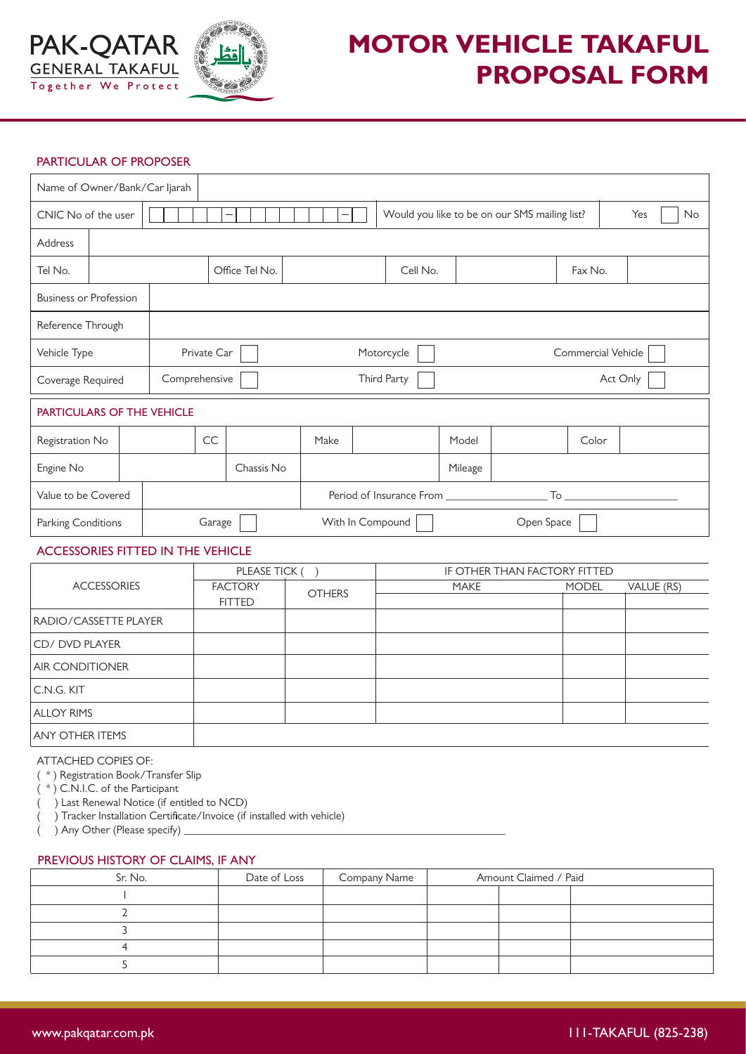

# **MOTOR VEHICLE TAKAFUL PROPOSAL FORM**

## PARTICULAR OF PROPOSER

| Name of Owner/Bank/Car Ijarah            |  |  |               |  |    |                |             |                                  |                          |  |          |  |         |                                               |       |  |           |
|------------------------------------------|--|--|---------------|--|----|----------------|-------------|----------------------------------|--------------------------|--|----------|--|---------|-----------------------------------------------|-------|--|-----------|
| CNIC No of the user                      |  |  |               |  |    |                |             |                                  |                          |  |          |  |         | Would you like to be on our SMS mailing list? |       |  | Yes<br>No |
| Address                                  |  |  |               |  |    |                |             |                                  |                          |  |          |  |         |                                               |       |  |           |
| Tel No.                                  |  |  |               |  |    | Office Tel No. |             |                                  | Cell No.                 |  |          |  | Fax No. |                                               |       |  |           |
| <b>Business or Profession</b>            |  |  |               |  |    |                |             |                                  |                          |  |          |  |         |                                               |       |  |           |
| Reference Through                        |  |  |               |  |    |                |             |                                  |                          |  |          |  |         |                                               |       |  |           |
| Vehicle Type                             |  |  | Private Car   |  |    |                |             | Commercial Vehicle<br>Motorcycle |                          |  |          |  |         |                                               |       |  |           |
| Coverage Required                        |  |  | Comprehensive |  |    |                | Third Party |                                  |                          |  | Act Only |  |         |                                               |       |  |           |
| <b>PARTICULARS OF THE VEHICLE</b>        |  |  |               |  |    |                |             |                                  |                          |  |          |  |         |                                               |       |  |           |
| Registration No                          |  |  |               |  | CC |                |             |                                  | Make                     |  |          |  | Model   |                                               | Color |  |           |
| Engine No                                |  |  |               |  |    |                | Chassis No  |                                  |                          |  |          |  | Mileage |                                               |       |  |           |
| Value to be Covered                      |  |  |               |  |    |                |             |                                  | Period of Insurance From |  |          |  |         |                                               |       |  |           |
| Parking Conditions                       |  |  | Garage        |  |    |                |             | With In Compound<br>Open Space   |                          |  |          |  |         |                                               |       |  |           |
| <b>ACCESSORIES FITTED IN THE VEHICLE</b> |  |  |               |  |    |                |             |                                  |                          |  |          |  |         |                                               |       |  |           |

# FACTORY 
THERE MODEL VALUE (RS) FITTED RADIO/CASSETTE PLAYER CD/ DVD PLAYER AIR CONDITIONER C.N.G. KIT ALLOY RIMS ANY OTHER ITEMS ACCESSORIES PLEASE TICK () **OTHERS** IF OTHER THAN FACTORY FITTED

#### ATTACHED COPIES OF:

( \* ) Registration Book/Transfer Slip

( \* ) C.N.I.C. of the Participant

( ) Last Renewal Notice (if entitled to NCD)

 $($  ) Tracker Installation Certificate/Invoice (if installed with vehicle)

 $($   $)$  Any Other (Please specify)

## PREVIOUS HISTORY OF CLAIMS, IF ANY

| Sr. No. | Date of Loss | Company Name | Amount Claimed / Paid |  |
|---------|--------------|--------------|-----------------------|--|
|         |              |              |                       |  |
|         |              |              |                       |  |
|         |              |              |                       |  |
|         |              |              |                       |  |
|         |              |              |                       |  |